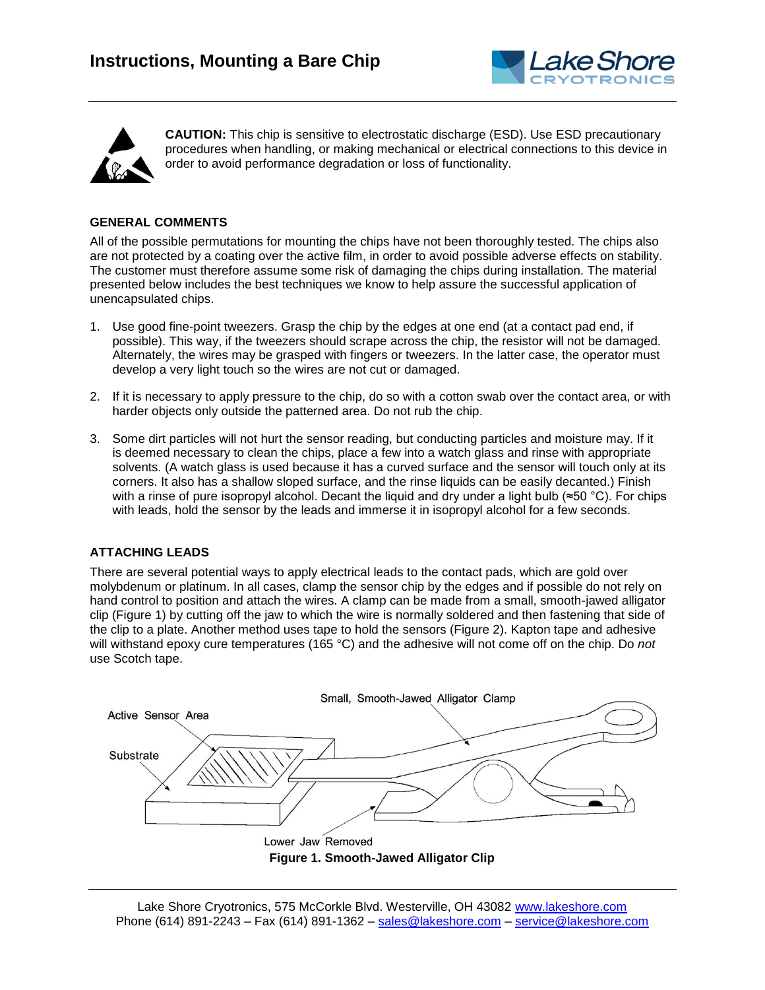



**CAUTION:** This chip is sensitive to electrostatic discharge (ESD). Use ESD precautionary procedures when handling, or making mechanical or electrical connections to this device in order to avoid performance degradation or loss of functionality.

# **GENERAL COMMENTS**

All of the possible permutations for mounting the chips have not been thoroughly tested. The chips also are not protected by a coating over the active film, in order to avoid possible adverse effects on stability. The customer must therefore assume some risk of damaging the chips during installation. The material presented below includes the best techniques we know to help assure the successful application of unencapsulated chips.

- 1. Use good fine-point tweezers. Grasp the chip by the edges at one end (at a contact pad end, if possible). This way, if the tweezers should scrape across the chip, the resistor will not be damaged. Alternately, the wires may be grasped with fingers or tweezers. In the latter case, the operator must develop a very light touch so the wires are not cut or damaged.
- 2. If it is necessary to apply pressure to the chip, do so with a cotton swab over the contact area, or with harder objects only outside the patterned area. Do not rub the chip.
- 3. Some dirt particles will not hurt the sensor reading, but conducting particles and moisture may. If it is deemed necessary to clean the chips, place a few into a watch glass and rinse with appropriate solvents. (A watch glass is used because it has a curved surface and the sensor will touch only at its corners. It also has a shallow sloped surface, and the rinse liquids can be easily decanted.) Finish with a rinse of pure isopropyl alcohol. Decant the liquid and dry under a light bulb (≈50 °C). For chips with leads, hold the sensor by the leads and immerse it in isopropyl alcohol for a few seconds.

# **ATTACHING LEADS**

There are several potential ways to apply electrical leads to the contact pads, which are gold over molybdenum or platinum. In all cases, clamp the sensor chip by the edges and if possible do not rely on hand control to position and attach the wires. A clamp can be made from a small, smooth-jawed alligator clip (Figure 1) by cutting off the jaw to which the wire is normally soldered and then fastening that side of the clip to a plate. Another method uses tape to hold the sensors (Figure 2). Kapton tape and adhesive will withstand epoxy cure temperatures (165 °C) and the adhesive will not come off on the chip. Do *not* use Scotch tape.

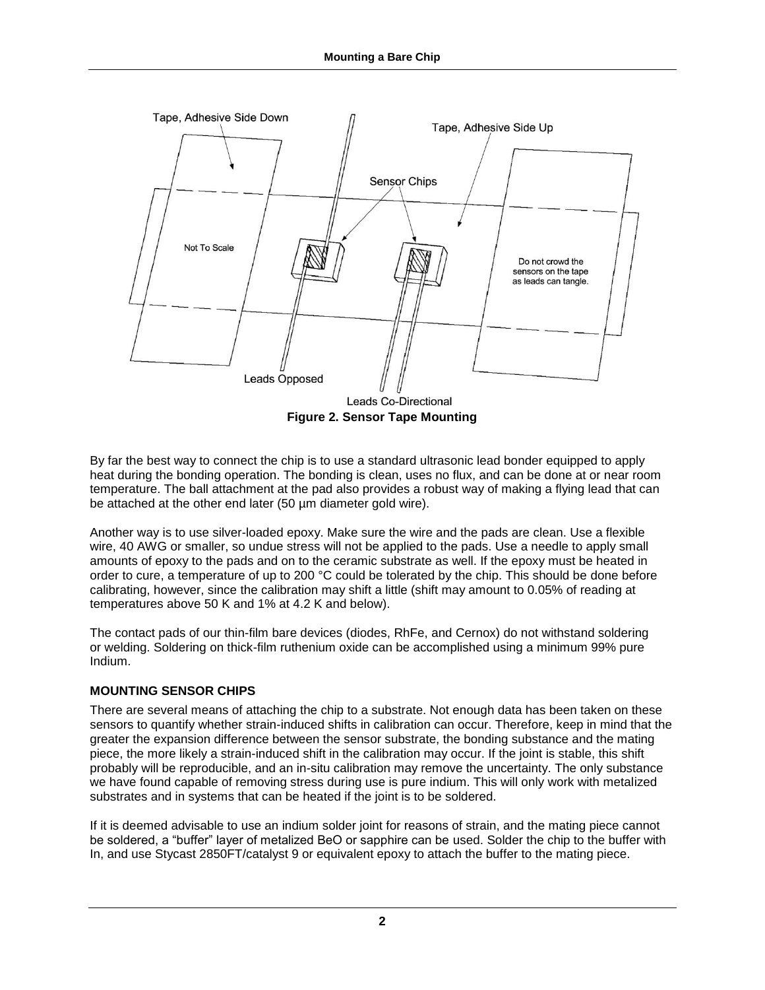

By far the best way to connect the chip is to use a standard ultrasonic lead bonder equipped to apply heat during the bonding operation. The bonding is clean, uses no flux, and can be done at or near room temperature. The ball attachment at the pad also provides a robust way of making a flying lead that can be attached at the other end later (50 µm diameter gold wire).

Another way is to use silver-loaded epoxy. Make sure the wire and the pads are clean. Use a flexible wire, 40 AWG or smaller, so undue stress will not be applied to the pads. Use a needle to apply small amounts of epoxy to the pads and on to the ceramic substrate as well. If the epoxy must be heated in order to cure, a temperature of up to 200 °C could be tolerated by the chip. This should be done before calibrating, however, since the calibration may shift a little (shift may amount to 0.05% of reading at temperatures above 50 K and 1% at 4.2 K and below).

The contact pads of our thin-film bare devices (diodes, RhFe, and Cernox) do not withstand soldering or welding. Soldering on thick-film ruthenium oxide can be accomplished using a minimum 99% pure Indium.

# **MOUNTING SENSOR CHIPS**

There are several means of attaching the chip to a substrate. Not enough data has been taken on these sensors to quantify whether strain-induced shifts in calibration can occur. Therefore, keep in mind that the greater the expansion difference between the sensor substrate, the bonding substance and the mating piece, the more likely a strain-induced shift in the calibration may occur. If the joint is stable, this shift probably will be reproducible, and an in-situ calibration may remove the uncertainty. The only substance we have found capable of removing stress during use is pure indium. This will only work with metalized substrates and in systems that can be heated if the joint is to be soldered.

If it is deemed advisable to use an indium solder joint for reasons of strain, and the mating piece cannot be soldered, a "buffer" layer of metalized BeO or sapphire can be used. Solder the chip to the buffer with In, and use Stycast 2850FT/catalyst 9 or equivalent epoxy to attach the buffer to the mating piece.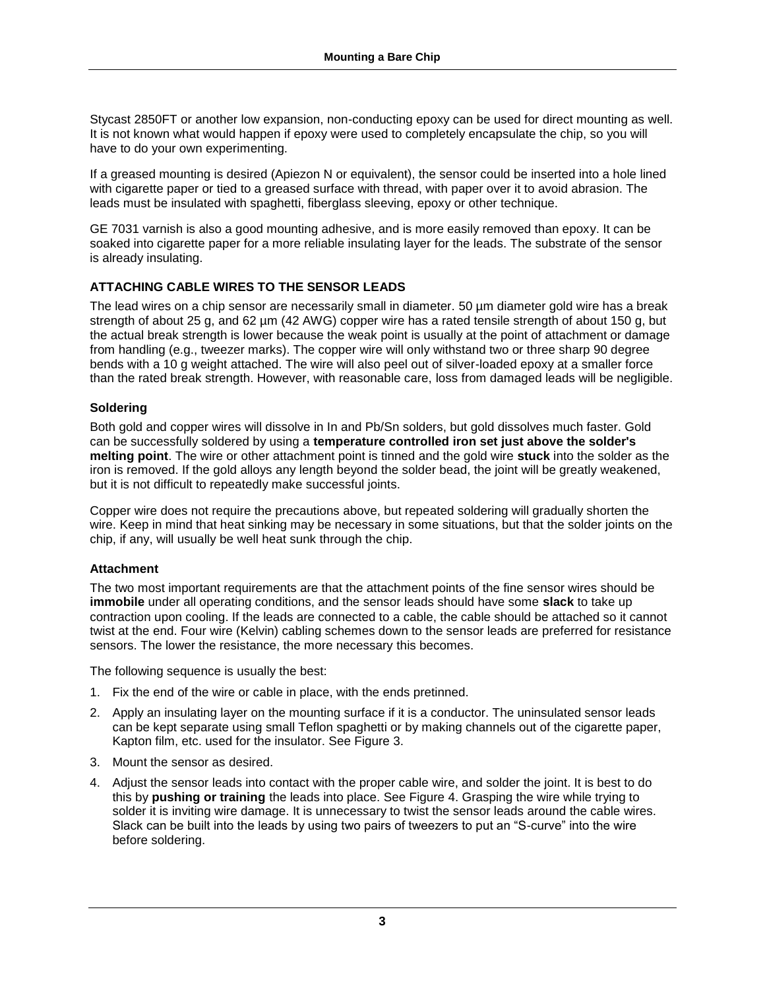Stycast 2850FT or another low expansion, non-conducting epoxy can be used for direct mounting as well. It is not known what would happen if epoxy were used to completely encapsulate the chip, so you will have to do your own experimenting.

If a greased mounting is desired (Apiezon N or equivalent), the sensor could be inserted into a hole lined with cigarette paper or tied to a greased surface with thread, with paper over it to avoid abrasion. The leads must be insulated with spaghetti, fiberglass sleeving, epoxy or other technique.

GE 7031 varnish is also a good mounting adhesive, and is more easily removed than epoxy. It can be soaked into cigarette paper for a more reliable insulating layer for the leads. The substrate of the sensor is already insulating.

# **ATTACHING CABLE WIRES TO THE SENSOR LEADS**

The lead wires on a chip sensor are necessarily small in diameter. 50 µm diameter gold wire has a break strength of about 25 g, and 62 µm (42 AWG) copper wire has a rated tensile strength of about 150 g, but the actual break strength is lower because the weak point is usually at the point of attachment or damage from handling (e.g., tweezer marks). The copper wire will only withstand two or three sharp 90 degree bends with a 10 g weight attached. The wire will also peel out of silver-loaded epoxy at a smaller force than the rated break strength. However, with reasonable care, loss from damaged leads will be negligible.

# **Soldering**

Both gold and copper wires will dissolve in In and Pb/Sn solders, but gold dissolves much faster. Gold can be successfully soldered by using a **temperature controlled iron set just above the solder's melting point**. The wire or other attachment point is tinned and the gold wire **stuck** into the solder as the iron is removed. If the gold alloys any length beyond the solder bead, the joint will be greatly weakened, but it is not difficult to repeatedly make successful joints.

Copper wire does not require the precautions above, but repeated soldering will gradually shorten the wire. Keep in mind that heat sinking may be necessary in some situations, but that the solder joints on the chip, if any, will usually be well heat sunk through the chip.

# **Attachment**

The two most important requirements are that the attachment points of the fine sensor wires should be **immobile** under all operating conditions, and the sensor leads should have some **slack** to take up contraction upon cooling. If the leads are connected to a cable, the cable should be attached so it cannot twist at the end. Four wire (Kelvin) cabling schemes down to the sensor leads are preferred for resistance sensors. The lower the resistance, the more necessary this becomes.

The following sequence is usually the best:

- 1. Fix the end of the wire or cable in place, with the ends pretinned.
- 2. Apply an insulating layer on the mounting surface if it is a conductor. The uninsulated sensor leads can be kept separate using small Teflon spaghetti or by making channels out of the cigarette paper, Kapton film, etc. used for the insulator. See Figure 3.
- 3. Mount the sensor as desired.
- 4. Adjust the sensor leads into contact with the proper cable wire, and solder the joint. It is best to do this by **pushing or training** the leads into place. See Figure 4. Grasping the wire while trying to solder it is inviting wire damage. It is unnecessary to twist the sensor leads around the cable wires. Slack can be built into the leads by using two pairs of tweezers to put an "S-curve" into the wire before soldering.